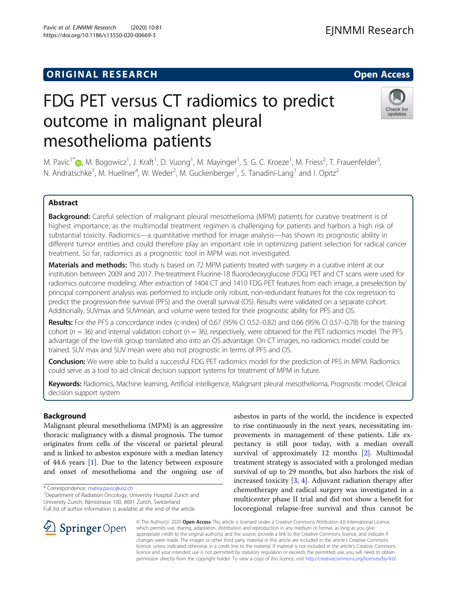## **ORIGINAL RESEARCH And Access** open Access of the United States of the United States of the United States of the U

# FDG PET versus CT radiomics to predict outcome in malignant pleural mesothelioma patients

M. Pavic<sup>1\*</sup>®[,](http://orcid.org/0000-0002-3899-6152) M. Bogowicz<sup>1</sup>, J. Kraft<sup>1</sup>, D. Vuong<sup>1</sup>, M. Mayinger<sup>1</sup>, S. G. C. Kroeze<sup>1</sup>, M. Friess<sup>2</sup>, T. Frauenfelder<sup>3</sup> , N. Andratschke<sup>1</sup>, M. Huellner<sup>4</sup>, W. Weder<sup>2</sup>, M. Guckenberger<sup>1</sup>, S. Tanadini-Lang<sup>1</sup> and I. Opitz<sup>2</sup>

## Abstract

Background: Careful selection of malignant pleural mesothelioma (MPM) patients for curative treatment is of highest importance, as the multimodal treatment regimen is challenging for patients and harbors a high risk of substantial toxicity. Radiomics—a quantitative method for image analysis—has shown its prognostic ability in different tumor entities and could therefore play an important role in optimizing patient selection for radical cancer treatment. So far, radiomics as a prognostic tool in MPM was not investigated.

Materials and methods: This study is based on 72 MPM patients treated with surgery in a curative intent at our institution between 2009 and 2017. Pre-treatment Fluorine-18 fluorodeoxyglucose (FDG) PET and CT scans were used for radiomics outcome modeling. After extraction of 1404 CT and 1410 FDG PET features from each image, a preselection by principal component analysis was performed to include only robust, non-redundant features for the cox regression to predict the progression-free survival (PFS) and the overall survival (OS). Results were validated on a separate cohort. Additionally, SUVmax and SUVmean, and volume were tested for their prognostic ability for PFS and OS.

Results: For the PFS a concordance index (c-index) of 0.67 (95% CI 0.52-0.82) and 0.66 (95% CI 0.57-0.78) for the training cohort ( $n = 36$ ) and internal validation cohort ( $n = 36$ ), respectively, were obtained for the PET radiomics model. The PFS advantage of the low-risk group translated also into an OS advantage. On CT images, no radiomics model could be trained. SUV max and SUV mean were also not prognostic in terms of PFS and OS.

**Conclusion:** We were able to build a successful FDG PET radiomics model for the prediction of PFS in MPM. Radiomics could serve as a tool to aid clinical decision support systems for treatment of MPM in future.

Keywords: Radiomics, Machine learning, Artificial intelligence, Malignant pleural mesothelioma, Prognostic model, Clinical decision support system

## Background

Malignant pleural mesothelioma (MPM) is an aggressive thoracic malignancy with a dismal prognosis. The tumor originates from cells of the visceral or parietal pleural and is linked to asbestos exposure with a median latency of 44.6 years [[1\]](#page-6-0). Due to the latency between exposure and onset of mesothelioma and the ongoing use of

\* Correspondence: [matea.pavic@usz.ch](mailto:matea.pavic@usz.ch) <sup>1</sup>

**Springer** Open

<sup>1</sup> Department of Radiation Oncology, University Hospital Zurich and University Zurich, Rämistrasse 100, 8091 Zurich, Switzerland Full list of author information is available at the end of the article

provements in management of these patients. Life expectancy is still poor today, with a median overall survival of approximately 12 months [[2](#page-6-0)]. Multimodal treatment strategy is associated with a prolonged median survival of up to 29 months, but also harbors the risk of increased toxicity [[3](#page-6-0), [4\]](#page-6-0). Adjuvant radiation therapy after chemotherapy and radical surgery was investigated in a multicenter phase II trial and did not show a benefit for locoregional relapse-free survival and thus cannot be

asbestos in parts of the world, the incidence is expected to rise continuously in the next years, necessitating im-

© The Author(s). 2020 Open Access This article is licensed under a Creative Commons Attribution 4.0 International License, which permits use, sharing, adaptation, distribution and reproduction in any medium or format, as long as you give appropriate credit to the original author(s) and the source, provide a link to the Creative Commons licence, and indicate if changes were made. The images or other third party material in this article are included in the article's Creative Commons licence, unless indicated otherwise in a credit line to the material. If material is not included in the article's Creative Commons licence and your intended use is not permitted by statutory regulation or exceeds the permitted use, you will need to obtain permission directly from the copyright holder. To view a copy of this licence, visit <http://creativecommons.org/licenses/by/4.0/>.





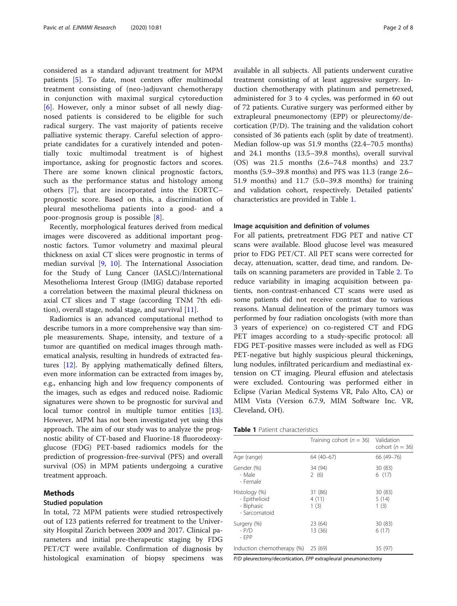considered as a standard adjuvant treatment for MPM patients [[5\]](#page-6-0). To date, most centers offer multimodal treatment consisting of (neo-)adjuvant chemotherapy in conjunction with maximal surgical cytoreduction [[6\]](#page-6-0). However, only a minor subset of all newly diagnosed patients is considered to be eligible for such radical surgery. The vast majority of patients receive palliative systemic therapy. Careful selection of appropriate candidates for a curatively intended and potentially toxic multimodal treatment is of highest importance, asking for prognostic factors and scores. There are some known clinical prognostic factors, such as the performance status and histology among others [[7](#page-6-0)], that are incorporated into the EORTC– prognostic score. Based on this, a discrimination of pleural mesothelioma patients into a good- and a poor-prognosis group is possible [\[8](#page-6-0)].

Recently, morphological features derived from medical images were discovered as additional important prognostic factors. Tumor volumetry and maximal pleural thickness on axial CT slices were prognostic in terms of median survival [[9](#page-6-0), [10](#page-6-0)]. The International Association for the Study of Lung Cancer (IASLC)/International Mesothelioma Interest Group (IMIG) database reported a correlation between the maximal pleural thickness on axial CT slices and T stage (according TNM 7th edition), overall stage, nodal stage, and survival  $[11]$  $[11]$ .

Radiomics is an advanced computational method to describe tumors in a more comprehensive way than simple measurements. Shape, intensity, and texture of a tumor are quantified on medical images through mathematical analysis, resulting in hundreds of extracted features [[12\]](#page-6-0). By applying mathematically defined filters, even more information can be extracted from images by, e.g., enhancing high and low frequency components of the images, such as edges and reduced noise. Radiomic signatures were shown to be prognostic for survival and local tumor control in multiple tumor entities [\[13](#page-6-0)]. However, MPM has not been investigated yet using this approach. The aim of our study was to analyze the prognostic ability of CT-based and Fluorine-18 fluorodeoxyglucose (FDG) PET-based radiomics models for the prediction of progression-free-survival (PFS) and overall survival (OS) in MPM patients undergoing a curative treatment approach.

## Methods

#### Studied population

In total, 72 MPM patients were studied retrospectively out of 123 patients referred for treatment to the University Hospital Zurich between 2009 and 2017. Clinical parameters and initial pre-therapeutic staging by FDG PET/CT were available. Confirmation of diagnosis by histological examination of biopsy specimens was available in all subjects. All patients underwent curative treatment consisting of at least aggressive surgery. Induction chemotherapy with platinum and pemetrexed, administered for 3 to 4 cycles, was performed in 60 out of 72 patients. Curative surgery was performed either by extrapleural pneumonectomy (EPP) or pleurectomy/decortication (P/D). The training and the validation cohort consisted of 36 patients each (split by date of treatment). Median follow-up was 51.9 months (22.4–70.5 months) and 24.1 months (13.5–39.8 months), overall survival (OS) was 21.5 months (2.6–74.8 months) and 23.7 months (5.9–39.8 months) and PFS was 11.3 (range 2.6– 51.9 months) and 11.7 (5.0–39.8 months) for training and validation cohort, respectively. Detailed patients' characteristics are provided in Table 1.

#### Image acquisition and definition of volumes

For all patients, pretreatment FDG PET and native CT scans were available. Blood glucose level was measured prior to FDG PET/CT. All PET scans were corrected for decay, attenuation, scatter, dead time, and random. Details on scanning parameters are provided in Table [2.](#page-2-0) To reduce variability in imaging acquisition between patients, non-contrast-enhanced CT scans were used as some patients did not receive contrast due to various reasons. Manual delineation of the primary tumors was performed by four radiation oncologists (with more than 3 years of experience) on co-registered CT and FDG PET images according to a study-specific protocol: all FDG PET-positive masses were included as well as FDG PET-negative but highly suspicious pleural thickenings, lung nodules, infiltrated pericardium and mediastinal extension on CT imaging. Pleural effusion and atelectasis were excluded. Contouring was performed either in Eclipse (Varian Medical Systems VR, Palo Alto, CA) or MIM Vista (Version 6.7.9, MIM Software Inc. VR, Cleveland, OH).

|                                                               | Training cohort ( $n = 36$ ) | Validation<br>cohort ( $n = 36$ ) |
|---------------------------------------------------------------|------------------------------|-----------------------------------|
| Age (range)                                                   | 64 (40-67)                   | 66 (49-76)                        |
| Gender (%)<br>- Male<br>- Female                              | 34 (94)<br>2(6)              | 30 (83)<br>6(17)                  |
| Histology (%)<br>- Epithelioid<br>- Biphasic<br>- Sarcomatoid | 31 (86)<br>4(11)<br>1(3)     | 30(83)<br>5(14)<br>1(3)           |
| Surgery (%)<br>$- P/D$<br>$-$ FPP                             | 23 (64)<br>13 (36)           | 30(83)<br>6(17)                   |
| Induction chemotherapy (%) 25 (69)                            |                              | 35 (97)                           |

P/D pleurectomy/decortication, EPP extrapleural pneumonectomy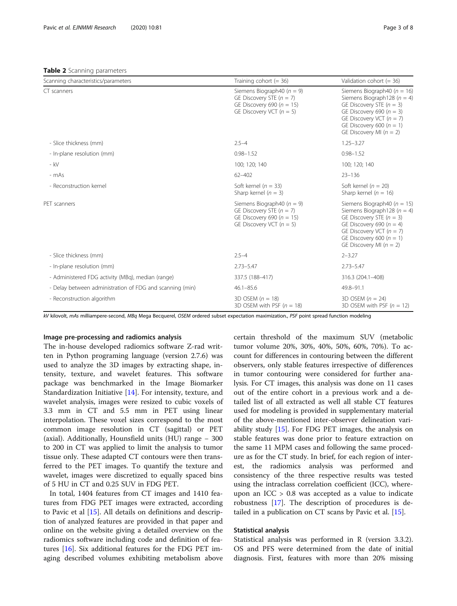#### <span id="page-2-0"></span>Table 2 Scanning parameters

| Scanning characteristics/parameters                      | Training cohort $(= 36)$                                                                                                      | Validation cohort $(= 36)$                                                                                                                                                                                                    |
|----------------------------------------------------------|-------------------------------------------------------------------------------------------------------------------------------|-------------------------------------------------------------------------------------------------------------------------------------------------------------------------------------------------------------------------------|
| CT scanners                                              | Siemens Biograph40 ( $n = 9$ )<br>GE Discovery STE $(n = 7)$<br>GE Discovery 690 ( $n = 15$ )<br>GE Discovery VCT ( $n = 5$ ) | Siemens Biograph40 ( $n = 16$ )<br>Siemens Biograph128 ( $n = 4$ )<br>GE Discovery STE $(n = 3)$<br>GE Discovery 690 ( $n = 3$ )<br>GE Discovery VCT ( $n = 7$ )<br>GE Discovery 600 ( $n = 1$ )<br>GE Discovery MI $(n = 2)$ |
| - Slice thickness (mm)                                   | $2.5 - 4$                                                                                                                     | $1.25 - 3.27$                                                                                                                                                                                                                 |
| - In-plane resolution (mm)                               | $0.98 - 1.52$                                                                                                                 | $0.98 - 1.52$                                                                                                                                                                                                                 |
| $-kV$                                                    | 100; 120; 140                                                                                                                 | 100; 120; 140                                                                                                                                                                                                                 |
| - mAs                                                    | $62 - 402$                                                                                                                    | $23 - 136$                                                                                                                                                                                                                    |
| - Reconstruction kernel                                  | Soft kernel ( $n = 33$ )<br>Sharp kernel ( $n = 3$ )                                                                          | Soft kernel ( $n = 20$ )<br>Sharp kernel ( $n = 16$ )                                                                                                                                                                         |
| PET scanners                                             | Siemens Biograph40 ( $n = 9$ )<br>GE Discovery STE $(n = 7)$<br>GE Discovery 690 ( $n = 15$ )<br>GE Discovery VCT ( $n = 5$ ) | Siemens Biograph40 ( $n = 15$ )<br>Siemens Biograph128 ( $n = 4$ )<br>GE Discovery STE $(n = 3)$<br>GE Discovery 690 ( $n = 4$ )<br>GE Discovery VCT ( $n = 7$ )<br>GE Discovery 600 ( $n = 1$ )<br>GE Discovery MI $(n = 2)$ |
| - Slice thickness (mm)                                   | $2.5 - 4$                                                                                                                     | $2 - 3.27$                                                                                                                                                                                                                    |
| - In-plane resolution (mm)                               | $2.73 - 5.47$                                                                                                                 | $2.73 - 5.47$                                                                                                                                                                                                                 |
| - Administered FDG activity (MBq), median (range)        | 337.5 (188-417)                                                                                                               | 316.3 (204.1-408)                                                                                                                                                                                                             |
| - Delay between administration of FDG and scanning (min) | $46.1 - 85.6$                                                                                                                 | 49.8-91.1                                                                                                                                                                                                                     |
| - Reconstruction algorithm                               | $3D$ OSFM $(n = 18)$                                                                                                          | $3D$ OSFM $(n = 24)$                                                                                                                                                                                                          |

kV kilovolt, mAs milliampere-second, MBq Mega Becquerel, OSEM ordered subset expectation maximization., PSF point spread function modeling

## Image pre-processing and radiomics analysis

The in-house developed radiomics software Z-rad written in Python programing language (version 2.7.6) was used to analyze the 3D images by extracting shape, intensity, texture, and wavelet features. This software package was benchmarked in the Image Biomarker Standardization Initiative [\[14\]](#page-7-0). For intensity, texture, and wavelet analysis, images were resized to cubic voxels of 3.3 mm in CT and 5.5 mm in PET using linear interpolation. These voxel sizes correspond to the most common image resolution in CT (sagittal) or PET (axial). Additionally, Hounsfield units (HU) range − 300 to 200 in CT was applied to limit the analysis to tumor tissue only. These adapted CT contours were then transferred to the PET images. To quantify the texture and wavelet, images were discretized to equally spaced bins of 5 HU in CT and 0.25 SUV in FDG PET.

In total, 1404 features from CT images and 1410 features from FDG PET images were extracted, according to Pavic et al [[15\]](#page-7-0). All details on definitions and description of analyzed features are provided in that paper and online on the website giving a detailed overview on the radiomics software including code and definition of features [[16\]](#page-7-0). Six additional features for the FDG PET imaging described volumes exhibiting metabolism above certain threshold of the maximum SUV (metabolic tumor volume 20%, 30%, 40%, 50%, 60%, 70%). To account for differences in contouring between the different observers, only stable features irrespective of differences in tumor contouring were considered for further analysis. For CT images, this analysis was done on 11 cases out of the entire cohort in a previous work and a detailed list of all extracted as well all stable CT features used for modeling is provided in supplementary material of the above-mentioned inter-observer delineation variability study  $[15]$  $[15]$ . For FDG PET images, the analysis on stable features was done prior to feature extraction on the same 11 MPM cases and following the same procedure as for the CT study. In brief, for each region of interest, the radiomics analysis was performed and consistency of the three respective results was tested using the intraclass correlation coefficient (ICC), whereupon an  $ICC > 0.8$  was accepted as a value to indicate robustness [[17\]](#page-7-0). The description of procedures is detailed in a publication on CT scans by Pavic et al. [[15\]](#page-7-0).

3D OSEM with PSF  $(n = 12)$ 

#### Statistical analysis

3D OSEM with PSF  $(n = 18)$ 

Statistical analysis was performed in R (version 3.3.2). OS and PFS were determined from the date of initial diagnosis. First, features with more than 20% missing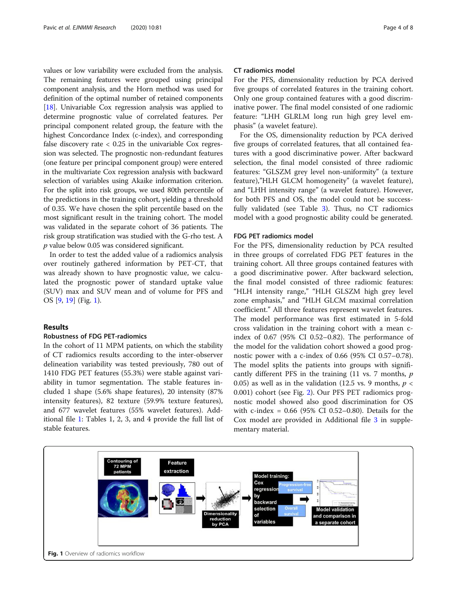values or low variability were excluded from the analysis. The remaining features were grouped using principal component analysis, and the Horn method was used for definition of the optimal number of retained components [[18](#page-7-0)]. Univariable Cox regression analysis was applied to determine prognostic value of correlated features. Per principal component related group, the feature with the highest Concordance Index (c-index), and corresponding false discovery rate  $< 0.25$  in the univariable Cox regression was selected. The prognostic non-redundant features (one feature per principal component group) were entered in the multivariate Cox regression analysis with backward selection of variables using Akaike information criterion. For the split into risk groups, we used 80th percentile of the predictions in the training cohort, yielding a threshold of 0.35. We have chosen the split percentile based on the most significant result in the training cohort. The model was validated in the separate cohort of 36 patients. The risk group stratification was studied with the G-rho test. A p value below 0.05 was considered significant.

In order to test the added value of a radiomics analysis over routinely gathered information by PET-CT, that was already shown to have prognostic value, we calculated the prognostic power of standard uptake value (SUV) max and SUV mean and of volume for PFS and OS [\[9](#page-6-0), [19](#page-7-0)] (Fig. 1).

### Results

#### Robustness of FDG PET-radiomics

In the cohort of 11 MPM patients, on which the stability of CT radiomics results according to the inter-observer delineation variability was tested previously, 780 out of 1410 FDG PET features (55.3%) were stable against variability in tumor segmentation. The stable features included 1 shape (5.6% shape features), 20 intensity (87% intensity features), 82 texture (59.9% texture features), and 677 wavelet features (55% wavelet features). Additional file [1](#page-6-0): Tables 1, 2, 3, and 4 provide the full list of stable features.

#### CT radiomics model

For the PFS, dimensionality reduction by PCA derived five groups of correlated features in the training cohort. Only one group contained features with a good discriminative power. The final model consisted of one radiomic feature: "LHH GLRLM long run high grey level emphasis" (a wavelet feature).

For the OS, dimensionality reduction by PCA derived five groups of correlated features, that all contained features with a good discriminative power. After backward selection, the final model consisted of three radiomic features: "GLSZM grey level non-uniformity" (a texture feature),"HLH GLCM homogeneity" (a wavelet feature), and "LHH intensity range" (a wavelet feature). However, for both PFS and OS, the model could not be successfully validated (see Table [3\)](#page-4-0). Thus, no CT radiomics model with a good prognostic ability could be generated.

#### FDG PET radiomics model

For the PFS, dimensionality reduction by PCA resulted in three groups of correlated FDG PET features in the training cohort. All three groups contained features with a good discriminative power. After backward selection, the final model consisted of three radiomic features: "HLH intensity range," "HLH GLSZM high grey level zone emphasis," and "HLH GLCM maximal correlation coefficient." All three features represent wavelet features. The model performance was first estimated in 5-fold cross validation in the training cohort with a mean cindex of 0.67 (95% CI 0.52–0.82). The performance of the model for the validation cohort showed a good prognostic power with a c-index of 0.66 (95% CI 0.57–0.78). The model splits the patients into groups with significantly different PFS in the training  $(11 \text{ vs. } 7 \text{ months}, p)$ 0.05) as well as in the validation (12.5 vs. 9 months,  $p \lt \theta$ 0.001) cohort (see Fig. [2\)](#page-4-0). Our PFS PET radiomics prognostic model showed also good discrimination for OS with c-index = 0.66 (95% CI 0.52–0.80). Details for the Cox model are provided in Additional file [3](#page-6-0) in supplementary material.

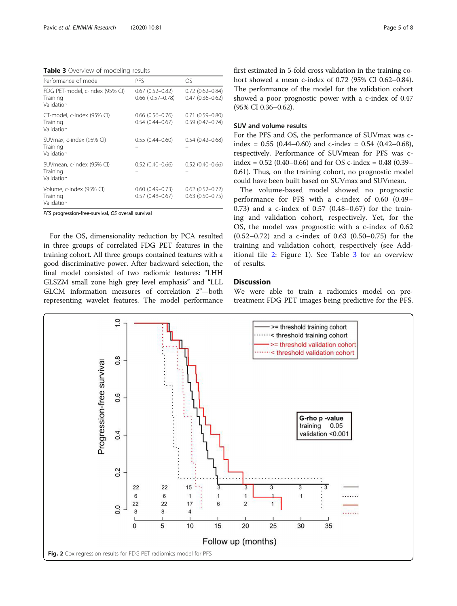<span id="page-4-0"></span>Table 3 Overview of modeling results

| Performance of model                                      | PFS                                                | OS                                               |
|-----------------------------------------------------------|----------------------------------------------------|--------------------------------------------------|
| FDG PET-model, c-index (95% CI)<br>Training<br>Validation | $0.67$ $(0.52 - 0.82)$<br>$0.66$ ( $0.57 - 0.78$ ) | $0.72$ $(0.62 - 0.84)$<br>$0.47(0.36 - 0.62)$    |
| CT-model, c-index (95% CI)<br>Training<br>Validation      | $0.66$ $(0.56 - 0.76)$<br>$0.54(0.44 - 0.67)$      | $0.71(0.59 - 0.80)$<br>$0.59(0.47 - 0.74)$       |
| SUVmax, c-index (95% CI)<br>Training<br>Validation        | $0.55(0.44 - 0.60)$                                | $0.54(0.42 - 0.68)$                              |
| SUVmean, c-index (95% CI)<br>Training<br>Validation       | $0.52(0.40 - 0.66)$                                | $0.52(0.40 - 0.66)$                              |
| Volume, c-index (95% CI)<br>Training<br>Validation        | $0.60(0.49 - 0.73)$<br>$0.57(0.48 - 0.67)$         | $0.62$ $(0.52 - 0.72)$<br>$0.63$ $(0.50 - 0.75)$ |

PFS progression-free-survival, OS overall survival

For the OS, dimensionality reduction by PCA resulted in three groups of correlated FDG PET features in the training cohort. All three groups contained features with a good discriminative power. After backward selection, the final model consisted of two radiomic features: "LHH GLSZM small zone high grey level emphasis" and "LLL GLCM information measures of correlation 2"—both representing wavelet features. The model performance first estimated in 5-fold cross validation in the training cohort showed a mean c-index of 0.72 (95% CI 0.62–0.84). The performance of the model for the validation cohort showed a poor prognostic power with a c-index of 0.47 (95% CI 0.36–0.62).

## SUV and volume results

For the PFS and OS, the performance of SUVmax was cindex =  $0.55$  (0.44–0.60) and c-index =  $0.54$  (0.42–0.68), respectively. Performance of SUVmean for PFS was cindex =  $0.52$  (0.40–0.66) and for OS c-index =  $0.48$  (0.39– 0.61). Thus, on the training cohort, no prognostic model could have been built based on SUVmax and SUVmean.

The volume-based model showed no prognostic performance for PFS with a c-index of 0.60 (0.49– 0.73) and a c-index of 0.57 (0.48–0.67) for the training and validation cohort, respectively. Yet, for the OS, the model was prognostic with a c-index of 0.62 (0.52–0.72) and a c-index of 0.63 (0.50–0.75) for the training and validation cohort, respectively (see Additional file [2:](#page-6-0) Figure 1). See Table 3 for an overview of results.

## Discussion

We were able to train a radiomics model on pretreatment FDG PET images being predictive for the PFS.

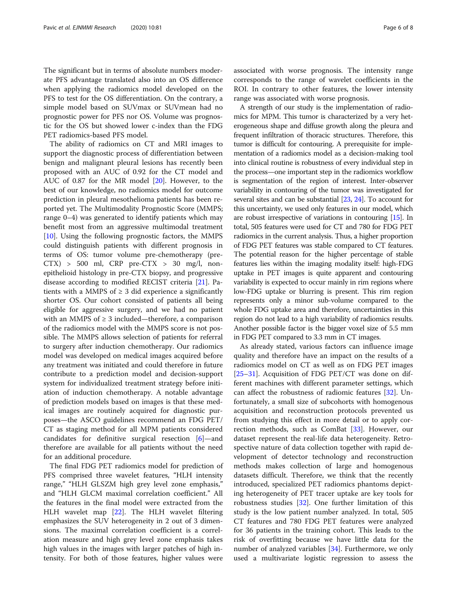The significant but in terms of absolute numbers moderate PFS advantage translated also into an OS difference when applying the radiomics model developed on the PFS to test for the OS differentiation. On the contrary, a simple model based on SUVmax or SUVmean had no prognostic power for PFS nor OS. Volume was prognostic for the OS but showed lower c-index than the FDG PET radiomics-based PFS model.

The ability of radiomics on CT and MRI images to support the diagnostic process of differentiation between benign and malignant pleural lesions has recently been proposed with an AUC of 0.92 for the CT model and AUC of 0.87 for the MR model [\[20\]](#page-7-0). However, to the best of our knowledge, no radiomics model for outcome prediction in pleural mesothelioma patients has been reported yet. The Multimodality Prognostic Score (MMPS; range 0–4) was generated to identify patients which may benefit most from an aggressive multimodal treatment  $[10]$  $[10]$ . Using the following prognostic factors, the MMPS could distinguish patients with different prognosis in terms of OS: tumor volume pre-chemotherapy (pre- $(TTX)$  > 500 ml,  $CRP$  pre- $CTX$  > 30 mg/l, nonepithelioid histology in pre-CTX biopsy, and progressive disease according to modified RECIST criteria [[21\]](#page-7-0). Patients with a MMPS of  $\geq$  3 did experience a significantly shorter OS. Our cohort consisted of patients all being eligible for aggressive surgery, and we had no patient with an MMPS of  $\geq 3$  included—therefore, a comparison of the radiomics model with the MMPS score is not possible. The MMPS allows selection of patients for referral to surgery after induction chemotherapy. Our radiomics model was developed on medical images acquired before any treatment was initiated and could therefore in future contribute to a prediction model and decision-support system for individualized treatment strategy before initiation of induction chemotherapy. A notable advantage of prediction models based on images is that these medical images are routinely acquired for diagnostic purposes—the ASCO guidelines recommend an FDG PET/ CT as staging method for all MPM patients considered candidates for definitive surgical resection [\[6](#page-6-0)]—and therefore are available for all patients without the need for an additional procedure.

The final FDG PET radiomics model for prediction of PFS comprised three wavelet features, "HLH intensity range," "HLH GLSZM high grey level zone emphasis," and "HLH GLCM maximal correlation coefficient." All the features in the final model were extracted from the HLH wavelet map [\[22\]](#page-7-0). The HLH wavelet filtering emphasizes the SUV heterogeneity in 2 out of 3 dimensions. The maximal correlation coefficient is a correlation measure and high grey level zone emphasis takes high values in the images with larger patches of high intensity. For both of those features, higher values were associated with worse prognosis. The intensity range corresponds to the range of wavelet coefficients in the ROI. In contrary to other features, the lower intensity range was associated with worse prognosis.

A strength of our study is the implementation of radiomics for MPM. This tumor is characterized by a very heterogeneous shape and diffuse growth along the pleura and frequent infiltration of thoracic structures. Therefore, this tumor is difficult for contouring. A prerequisite for implementation of a radiomics model as a decision-making tool into clinical routine is robustness of every individual step in the process—one important step in the radiomics workflow is segmentation of the region of interest. Inter-observer variability in contouring of the tumor was investigated for several sites and can be substantial [[23](#page-7-0), [24](#page-7-0)]. To account for this uncertainty, we used only features in our model, which are robust irrespective of variations in contouring [\[15](#page-7-0)]. In total, 505 features were used for CT and 780 for FDG PET radiomics in the current analysis. Thus, a higher proportion of FDG PET features was stable compared to CT features. The potential reason for the higher percentage of stable features lies within the imaging modality itself: high-FDG uptake in PET images is quite apparent and contouring variability is expected to occur mainly in rim regions where low-FDG uptake or blurring is present. This rim region represents only a minor sub-volume compared to the whole FDG uptake area and therefore, uncertainties in this region do not lead to a high variability of radiomics results. Another possible factor is the bigger voxel size of 5.5 mm in FDG PET compared to 3.3 mm in CT images.

As already stated, various factors can influence image quality and therefore have an impact on the results of a radiomics model on CT as well as on FDG PET images [[25](#page-7-0)–[31](#page-7-0)]. Acquisition of FDG PET/CT was done on different machines with different parameter settings, which can affect the robustness of radiomic features [\[32](#page-7-0)]. Unfortunately, a small size of subcohorts with homogenous acquisition and reconstruction protocols prevented us from studying this effect in more detail or to apply correction methods, such as ComBat [\[33](#page-7-0)]. However, our dataset represent the real-life data heterogeneity. Retrospective nature of data collection together with rapid development of detector technology and reconstruction methods makes collection of large and homogenous datasets difficult. Therefore, we think that the recently introduced, specialized PET radiomics phantoms depicting heterogeneity of PET tracer uptake are key tools for robustness studies  $[32]$  $[32]$ . One further limitation of this study is the low patient number analyzed. In total, 505 CT features and 780 FDG PET features were analyzed for 36 patients in the training cohort. This leads to the risk of overfitting because we have little data for the number of analyzed variables [\[34\]](#page-7-0). Furthermore, we only used a multivariate logistic regression to assess the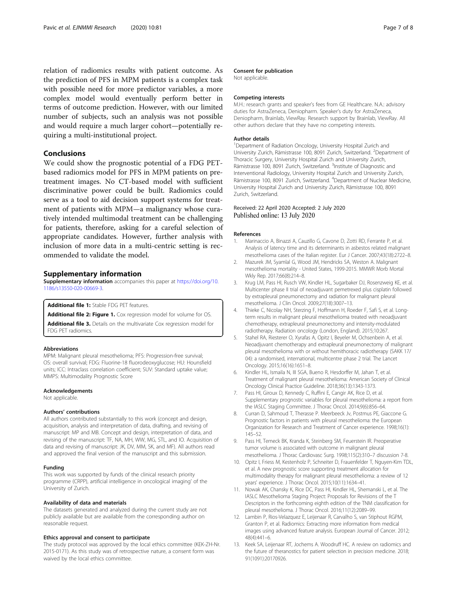<span id="page-6-0"></span>relation of radiomics results with patient outcome. As the prediction of PFS in MPM patients is a complex task with possible need for more predictor variables, a more complex model would eventually perform better in terms of outcome prediction. However, with our limited number of subjects, such an analysis was not possible and would require a much larger cohort—potentially requiring a multi-institutional project.

## Conclusions

We could show the prognostic potential of a FDG PETbased radiomics model for PFS in MPM patients on pretreatment images. No CT-based model with sufficient discriminative power could be built. Radiomics could serve as a tool to aid decision support systems for treatment of patients with MPM—a malignancy whose curatively intended multimodal treatment can be challenging for patients, therefore, asking for a careful selection of appropriate candidates. However, further analysis with inclusion of more data in a multi-centric setting is recommended to validate the model.

#### Supplementary information

Supplementary information accompanies this paper at [https://doi.org/10.](https://doi.org/10.1186/s13550-020-00669-3) [1186/s13550-020-00669-3](https://doi.org/10.1186/s13550-020-00669-3).

Additional file 1: Stable FDG PET features.

Additional file 2: Figure 1. Cox regression model for volume for OS. Additional file 3. Details on the multivariate Cox regression model for

FDG PET radiomics.

#### Abbreviations

MPM: Malignant pleural mesothelioma; PFS: Progression-free survival; OS: overall survival; FDG: Fluorine-18 fluorodeoxyglucose; HU: Hounsfield units; ICC: Intraclass correlation coefficient; SUV: Standard uptake value; MMPS: Multimodality Prognostic Score

#### Acknowledgements

Not applicable.

#### Authors' contributions

All authors contributed substantially to this work (concept and design, acquisition, analysis and interpretation of data, drafting, and revising of manuscript: MP and MB. Concept and design, interpretation of data, and revising of the manuscript: TF, NA, MH, WW, MG, STL, and IO. Acquisition of data and revising of manuscript: JK, DV, MM, SK, and MF). All authors read and approved the final version of the manuscript and this submission.

#### Funding

This work was supported by funds of the clinical research priority programme (CRPP), artificial intelligence in oncological imaging' of the University of Zurich.

#### Availability of data and materials

The datasets generated and analyzed during the current study are not publicly available but are available from the corresponding author on reasonable request.

#### Ethics approval and consent to participate

The study protocol was approved by the local ethics committee (KEK-ZH-Nr. 2015-0171). As this study was of retrospective nature, a consent form was waived by the local ethics committee.

#### Consent for publication

Not applicable.

#### Competing interests

M.H.: research grants and speaker's fees from GE Healthcare. N.A.: advisory duties for AstraZeneca, Deniopharm. Speaker's duty for AstraZeneca, Deniopharm, Brainlab, ViewRay. Research support by Brainlab, ViewRay. All other authors declare that they have no competing interests.

#### Author details

<sup>1</sup>Department of Radiation Oncology, University Hospital Zurich and University Zurich, Rämistrasse 100, 8091 Zurich, Switzerland. <sup>2</sup>Department of Thoracic Surgery, University Hospital Zurich and University Zurich, Rämistrasse 100, 8091 Zurich, Switzerland. <sup>3</sup>Institute of Diagnostic and Interventional Radiology, University Hospital Zurich and University Zurich, Rämistrasse 100, 8091 Zurich, Switzerland. <sup>4</sup>Department of Nuclear Medicine, University Hospital Zurich and University Zurich, Rämistrasse 100, 8091 Zurich, Switzerland.

#### Received: 22 April 2020 Accepted: 2 July 2020 Published online: 13 July 2020

#### References

- Marinaccio A, Binazzi A, Cauzillo G, Cavone D, Zotti RD, Ferrante P, et al. Analysis of latency time and its determinants in asbestos related malignant mesothelioma cases of the Italian register. Eur J Cancer. 2007;43(18):2722–8.
- 2. Mazurek JM, Syamlal G, Wood JM, Hendricks SA, Weston A. Malignant mesothelioma mortality - United States, 1999-2015. MMWR Morb Mortal Wkly Rep. 2017;66(8):214–8.
- 3. Krug LM, Pass HI, Rusch VW, Kindler HL, Sugarbaker DJ, Rosenzweig KE, et al. Multicenter phase II trial of neoadjuvant pemetrexed plus cisplatin followed by extrapleural pneumonectomy and radiation for malignant pleural mesothelioma. J Clin Oncol. 2009;27(18):3007–13.
- 4. Thieke C, Nicolay NH, Sterzing F, Hoffmann H, Roeder F, Safi S, et al. Longterm results in malignant pleural mesothelioma treated with neoadjuvant chemotherapy, extrapleural pneumonectomy and intensity-modulated radiotherapy. Radiation oncology (London, England). 2015;10:267.
- 5. Stahel RA, Riesterer O, Xyrafas A, Opitz I, Beyeler M, Ochsenbein A, et al. Neoadjuvant chemotherapy and extrapleural pneumonectomy of malignant pleural mesothelioma with or without hemithoracic radiotherapy (SAKK 17/ 04): a randomised, international, multicentre phase 2 trial. The Lancet Oncology. 2015;16(16):1651–8.
- 6. Kindler HL, Ismaila N, III SGA, Bueno R, Hesdorffer M, Jahan T, et al. Treatment of malignant pleural mesothelioma: American Society of Clinical Oncology Clinical Practice Guideline. 2018;36(13):1343-1373.
- 7. Pass HI, Giroux D, Kennedy C, Ruffini E, Cangir AK, Rice D, et al. Supplementary prognostic variables for pleural mesothelioma: a report from the IASLC Staging Committee. J Thorac Oncol. 2014;9(6):856–64.
- 8. Curran D, Sahmoud T, Therasse P. Meerbeeck Jv, Postmus PE, Giaccone G. Prognostic factors in patients with pleural mesothelioma: the European Organization for Research and Treatment of Cancer experience. 1998;16(1): 145–52.
- 9. Pass HI, Temeck BK, Kranda K, Steinberg SM, Feuerstein IR. Preoperative tumor volume is associated with outcome in malignant pleural mesothelioma. J Thorac Cardiovasc Surg. 1998;115(2):310–7 discussion 7-8.
- 10. Opitz I, Friess M, Kestenholz P, Schneiter D, Frauenfelder T, Nguyen-Kim TDL, et al. A new prognostic score supporting treatment allocation for multimodality therapy for malignant pleural mesothelioma: a review of 12 years' experience. J Thorac Oncol. 2015;10(11):1634–41.
- 11. Nowak AK, Chansky K, Rice DC, Pass HI, Kindler HL, Shemanski L, et al. The IASLC Mesothelioma Staging Project: Proposals for Revisions of the T Descriptors in the forthcoming eighth edition of the TNM classification for pleural mesothelioma. J Thorac Oncol. 2016;11(12):2089–99.
- 12. Lambin P, Rios-Velazquez E, Leijenaar R, Carvalho S, van Stiphout RGPM, Granton P, et al. Radiomics: Extracting more information from medical images using advanced feature analysis. European Journal of Cancer. 2012; 48(4):441–6.
- 13. Keek SA, Leijenaar RT, Jochems A. Woodruff HC. A review on radiomics and the future of theranostics for patient selection in precision medicine. 2018; 91(1091):20170926.